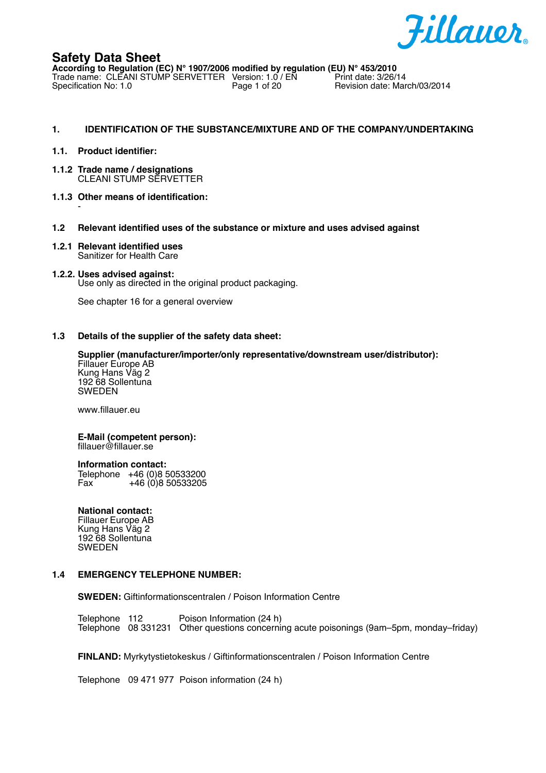

**According to Regulation (EC) N° 1907/2006 modified by regulation (EU) N° 453/2010** Trade name: CLEANI STUMP SERVETTER Version: 1.0 / EN<br>Specification No: 1.0 Page 1 of 20 Revision date: March/03/2014

### **1. IDENTIFICATION OF THE SUBSTANCE/MIXTURE AND OF THE COMPANY/UNDERTAKING**

### **1.1. Product identifier:**

- **1.1.2 Trade name / designations** CLEANI STUMP SERVETTER
- **1.1.3 Other means of identification:** -
- **1.2 Relevant identified uses of the substance or mixture and uses advised against**
- **1.2.1 Relevant identified uses** Sanitizer for Health Care

### **1.2.2. Uses advised against:**

Use only as directed in the original product packaging.

See chapter 16 for a general overview

#### **1.3 Details of the supplier of the safety data sheet:**

**Supplier (manufacturer/importer/only representative/downstream user/distributor):** Fillauer Europe AB Kung Hans Väg 2 192 68 Sollentuna SWEDEN

www.fillauer.eu

#### **E-Mail (competent person):** fillauer@fillauer.se

**Information contact:**

Telephone +46 (0)8 50533200 Fax  $+46(0)850533205$ 

### **National contact:**

Fillauer Europe AB Kung Hans Väg 2 192 68 Sollentuna SWEDEN

#### **1.4 EMERGENCY TELEPHONE NUMBER:**

**SWEDEN:** Giftinformationscentralen / Poison Information Centre

Telephone 112 Poison Information (24 h) Telephone 08 331231 Other questions concerning acute poisonings (9am–5pm, monday–friday)

**FINLAND:** Myrkytystietokeskus / Giftinformationscentralen / Poison Information Centre

Telephone 09 471 977 Poison information (24 h)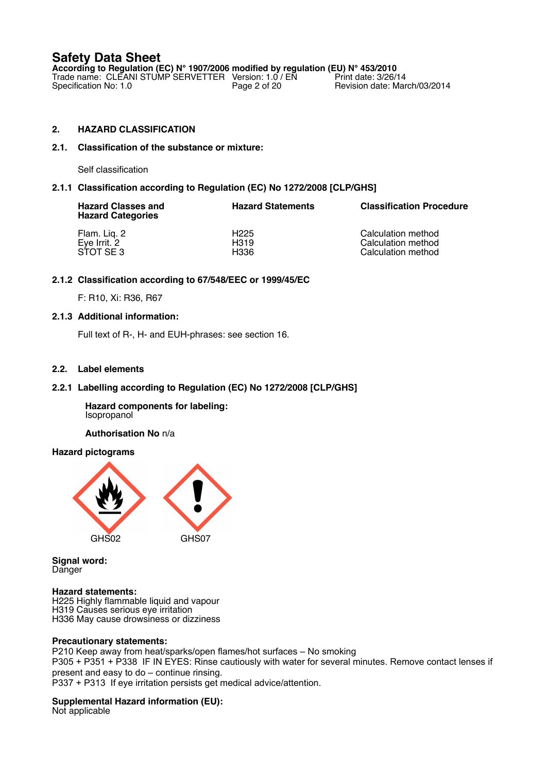**According to Regulation (EC) N° 1907/2006 modified by regulation (EU) N° 453/2010** Trade name: CLEANI STUMP SERVETTER Version: 1.0 / EN Print date: 3/26/14 Specification No: 1.0 **Page 2 of 20** Revision date: March/03/2014

# **2. HAZARD CLASSIFICATION**

## **2.1. Classification of the substance or mixture:**

Self classification

## **2.1.1 Classification according to Regulation (EC) No 1272/2008 [CLP/GHS]**

| <b>Hazard Classes and</b><br><b>Hazard Categories</b> | <b>Hazard Statements</b> | <b>Classification Procedure</b> |
|-------------------------------------------------------|--------------------------|---------------------------------|
| Flam. Liq. 2                                          | H <sub>225</sub>         | Calculation method              |
| Eye Irrit. 2                                          | H319                     | Calculation method              |
| STOT SE3                                              | H336                     | Calculation method              |

## **2.1.2 Classification according to 67/548/EEC or 1999/45/EC**

F: R10, Xi: R36, R67

### **2.1.3 Additional information:**

Full text of R-, H- and EUH-phrases: see section 16.

## **2.2. Label elements**

# **2.2.1 Labelling according to Regulation (EC) No 1272/2008 [CLP/GHS]**

**Hazard components for labeling:** Isopropanol

**Authorisation No** n/a

### **Hazard pictograms**



**Signal word:** Danger

### **Hazard statements:**

H225 Highly flammable liquid and vapour H319 Causes serious eye irritation H336 May cause drowsiness or dizziness

### **Precautionary statements:**

P210 Keep away from heat/sparks/open flames/hot surfaces – No smoking P305 + P351 + P338 IF IN EYES: Rinse cautiously with water for several minutes. Remove contact lenses if present and easy to do – continue rinsing. P337 + P313 If eye irritation persists get medical advice/attention.

### **Supplemental Hazard information (EU):**

Not applicable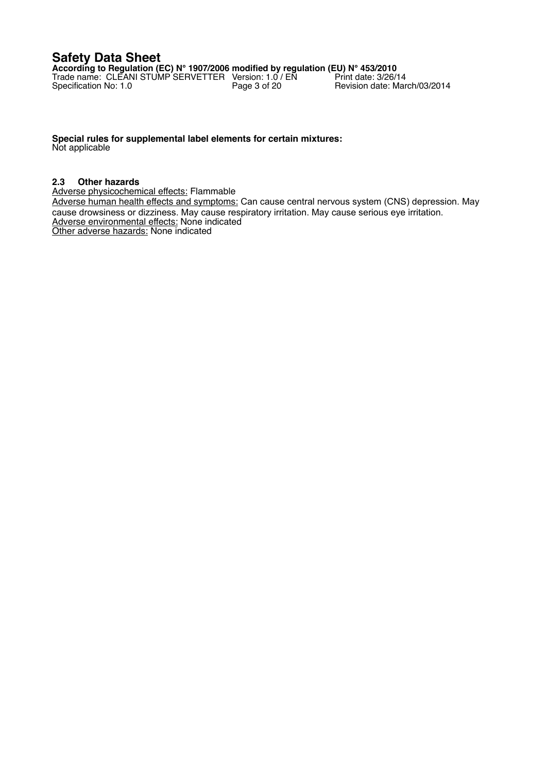**According to Regulation (EC) N° 1907/2006 modified by regulation (EU) N° 453/2010** Trade name: CLEANI STUMP SERVETTER Version: 1.0 / EN Print date: 3/26/14 Specification No: 1.0 **Page 3 of 20** Revision date: March/03/2014

**Special rules for supplemental label elements for certain mixtures:** Not applicable

### **2.3 Other hazards**

Adverse physicochemical effects: Flammable

Adverse human health effects and symptoms: Can cause central nervous system (CNS) depression. May cause drowsiness or dizziness. May cause respiratory irritation. May cause serious eye irritation. Adverse environmental effects: None indicated Other adverse hazards: None indicated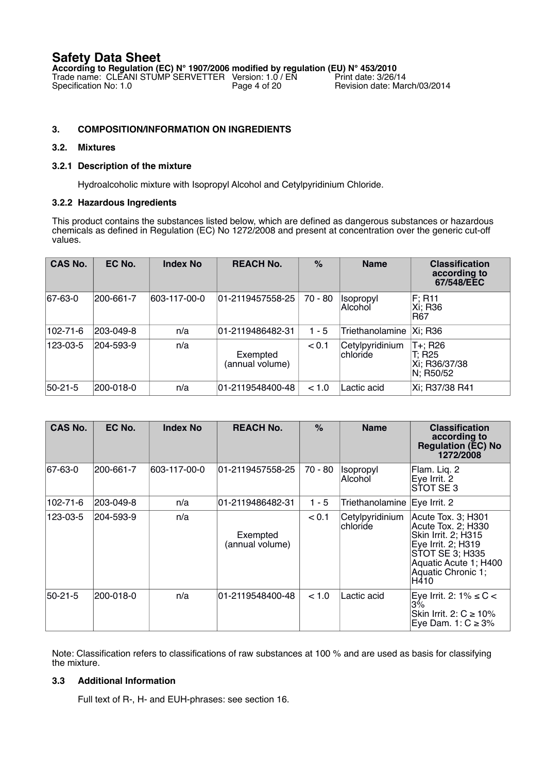**According to Regulation (EC) N° 1907/2006 modified by regulation (EU) N° 453/2010** Trade name: CLEANI STUMP SERVETTER Version: 1.0 / EN Print date: 3/26/14 Specification No: 1.0 **Page 4 of 20** Revision date: March/03/2014

# **3. COMPOSITION/INFORMATION ON INGREDIENTS**

# **3.2. Mixtures**

# **3.2.1 Description of the mixture**

Hydroalcoholic mixture with Isopropyl Alcohol and Cetylpyridinium Chloride.

## **3.2.2 Hazardous Ingredients**

This product contains the substances listed below, which are defined as dangerous substances or hazardous chemicals as defined in Regulation (EC) No 1272/2008 and present at concentration over the generic cut-off values.

| <b>CAS No.</b> | EC No.    | <b>Index No</b> | <b>REACH No.</b>            | $\%$      | <b>Name</b>                 | <b>Classification</b><br>according to<br>67/548/EEC |
|----------------|-----------|-----------------|-----------------------------|-----------|-----------------------------|-----------------------------------------------------|
| 67-63-0        | 200-661-7 | 603-117-00-0    | 01-2119457558-25            | $70 - 80$ | <b>Isopropyl</b><br>Alcohol | F; R11<br> Xi; R36<br>IR67                          |
| 102-71-6       | 203-049-8 | n/a             | 01-2119486482-31            | $1 - 5$   | Triethanolamine             | Xi: R36                                             |
| 123-03-5       | 204-593-9 | n/a             | Exempted<br>(annual volume) | < 0.1     | Cetylpyridinium<br>chloride | T+; R26<br>T; R25<br>Xi; R36/37/38<br>N; R50/52     |
| 50-21-5        | 200-018-0 | n/a             | 01-2119548400-48            | < 1.0     | Lactic acid                 | Xi; R37/38 R41                                      |

| <b>CAS No.</b> | EC No.    | <b>Index No</b> | <b>REACH No.</b>            | $\%$    | <b>Name</b>                        | <b>Classification</b><br>according to<br><b>Regulation (EC) No</b><br>1272/2008                                                                                 |
|----------------|-----------|-----------------|-----------------------------|---------|------------------------------------|-----------------------------------------------------------------------------------------------------------------------------------------------------------------|
| 67-63-0        | 200-661-7 | 603-117-00-0    | 01-2119457558-25            | 70 - 80 | <i><b>Isopropyl</b></i><br>Alcohol | Flam. Liq. 2<br>Eye Irrit. 2<br>STOT SE3                                                                                                                        |
| 102-71-6       | 203-049-8 | n/a             | 01-2119486482-31            | $1 - 5$ | Triethanolamine                    | Eye Irrit. 2                                                                                                                                                    |
| 123-03-5       | 204-593-9 | n/a             | Exempted<br>(annual volume) | < 0.1   | Cetylpyridinium<br><b>chloride</b> | Acute Tox. 3; H301<br>Acute Tox. 2; H330<br>Skin Irrit. 2; H315<br>Eye Irrit. 2; H319<br>STOT SE 3; H335<br>Aquatic Acute 1; H400<br>Aquatic Chronic 1;<br>H410 |
| 50-21-5        | 200-018-0 | n/a             | 01-2119548400-48            | < 1.0   | Lactic acid                        | Eye Irrit. 2: $1\% \leq C$ <<br>3%<br>Skin Irrit. 2: $C \ge 10\%$<br>Eye Dam. 1: $C \ge 3\%$                                                                    |

Note: Classification refers to classifications of raw substances at 100 % and are used as basis for classifying the mixture.

# **3.3 Additional Information**

Full text of R-, H- and EUH-phrases: see section 16.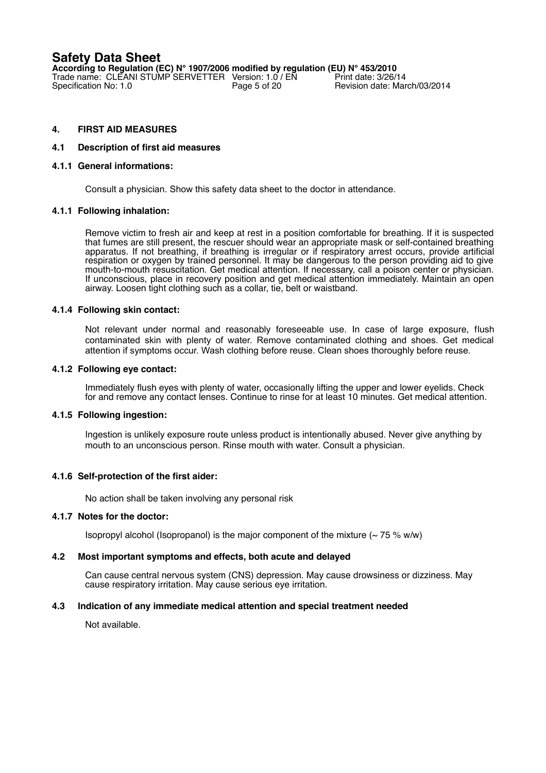**According to Regulation (EC) N° 1907/2006 modified by regulation (EU) N° 453/2010** Trade name: CLEANI STUMP SERVETTER Version:  $1.0$  / EN Specification No:  $1.0$ Revision date: March/03/2014

# **4. FIRST AID MEASURES**

### **4.1 Description of first aid measures**

### **4.1.1 General informations:**

Consult a physician. Show this safety data sheet to the doctor in attendance.

### **4.1.1 Following inhalation:**

Remove victim to fresh air and keep at rest in a position comfortable for breathing. If it is suspected that fumes are still present, the rescuer should wear an appropriate mask or self-contained breathing apparatus. If not breathing, if breathing is irregular or if respiratory arrest occurs, provide artificial respiration or oxygen by trained personnel. It may be dangerous to the person providing aid to give mouth-to-mouth resuscitation. Get medical attention. If necessary, call a poison center or physician. If unconscious, place in recovery position and get medical attention immediately. Maintain an open airway. Loosen tight clothing such as a collar, tie, belt or waistband.

### **4.1.4 Following skin contact:**

Not relevant under normal and reasonably foreseeable use. In case of large exposure, flush contaminated skin with plenty of water. Remove contaminated clothing and shoes. Get medical attention if symptoms occur. Wash clothing before reuse. Clean shoes thoroughly before reuse.

### **4.1.2 Following eye contact:**

Immediately flush eyes with plenty of water, occasionally lifting the upper and lower eyelids. Check for and remove any contact lenses. Continue to rinse for at least 10 minutes. Get medical attention.

### **4.1.5 Following ingestion:**

Ingestion is unlikely exposure route unless product is intentionally abused. Never give anything by mouth to an unconscious person. Rinse mouth with water. Consult a physician.

### **4.1.6 Self-protection of the first aider:**

No action shall be taken involving any personal risk

### **4.1.7 Notes for the doctor:**

Isopropyl alcohol (Isopropanol) is the major component of the mixture  $(-75\% \text{ w/w})$ 

### **4.2 Most important symptoms and effects, both acute and delayed**

Can cause central nervous system (CNS) depression. May cause drowsiness or dizziness. May cause respiratory irritation. May cause serious eye irritation.

### **4.3 Indication of any immediate medical attention and special treatment needed**

Not available.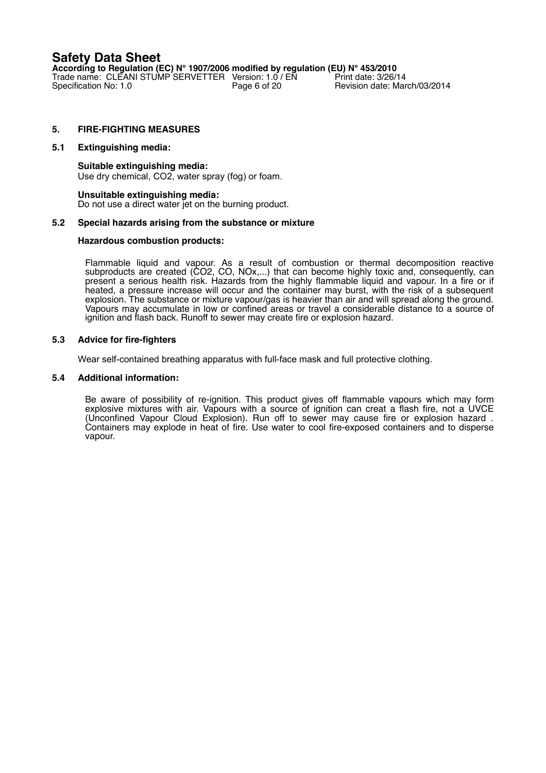**According to Regulation (EC) N° 1907/2006 modified by regulation (EU) N° 453/2010** Trade name: CLEANI STUMP SERVETTER Version:  $1.0$  / EN Specification No:  $1.0$ Revision date: March/03/2014

## **5. FIRE-FIGHTING MEASURES**

### **5.1 Extinguishing media:**

**Suitable extinguishing media:** Use dry chemical, CO2, water spray (fog) or foam.

#### **Unsuitable extinguishing media:** Do not use a direct water jet on the burning product.

### **5.2 Special hazards arising from the substance or mixture**

### **Hazardous combustion products:**

Flammable liquid and vapour. As a result of combustion or thermal decomposition reactive subproducts are created (CO2, CO, NOx,...) that can become highly toxic and, consequently, can present a serious health risk. Hazards from the highly flammable liquid and vapour. In a fire or if heated, a pressure increase will occur and the container may burst, with the risk of a subsequent explosion. The substance or mixture vapour/gas is heavier than air and will spread along the ground. Vapours may accumulate in low or confined areas or travel a considerable distance to a source of ignition and flash back. Runoff to sewer may create fire or explosion hazard.

### **5.3 Advice for fire-fighters**

Wear self-contained breathing apparatus with full-face mask and full protective clothing.

### **5.4 Additional information:**

Be aware of possibility of re-ignition. This product gives off flammable vapours which may form explosive mixtures with air. Vapours with a source of ignition can creat a flash fire, not a UVCE (Unconfined Vapour Cloud Explosion). Run off to sewer may cause fire or explosion hazard . Containers may explode in heat of fire. Use water to cool fire-exposed containers and to disperse vapour.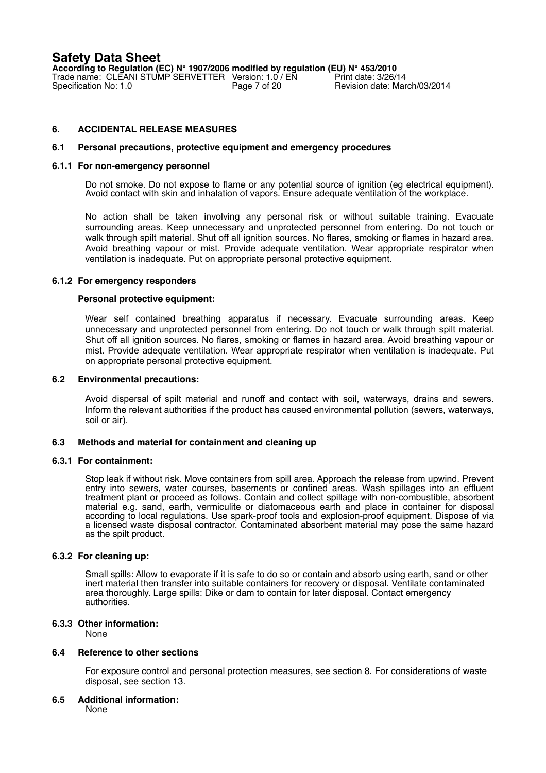**According to Regulation (EC) N° 1907/2006 modified by regulation (EU) N° 453/2010** Trade name: CLEANI STUMP SERVETTER Version: 1.0 / EN<br>Specification No: 1.0 Page 7 of 20 Revision date: March/03/2014

# **6. ACCIDENTAL RELEASE MEASURES**

### **6.1 Personal precautions, protective equipment and emergency procedures**

#### **6.1.1 For non-emergency personnel**

Do not smoke. Do not expose to flame or any potential source of ignition (eg electrical equipment). Avoid contact with skin and inhalation of vapors. Ensure adequate ventilation of the workplace.

No action shall be taken involving any personal risk or without suitable training. Evacuate surrounding areas. Keep unnecessary and unprotected personnel from entering. Do not touch or walk through spilt material. Shut off all ignition sources. No flares, smoking or flames in hazard area. Avoid breathing vapour or mist. Provide adequate ventilation. Wear appropriate respirator when ventilation is inadequate. Put on appropriate personal protective equipment.

### **6.1.2 For emergency responders**

### **Personal protective equipment:**

Wear self contained breathing apparatus if necessary. Evacuate surrounding areas. Keep unnecessary and unprotected personnel from entering. Do not touch or walk through spilt material. Shut off all ignition sources. No flares, smoking or flames in hazard area. Avoid breathing vapour or mist. Provide adequate ventilation. Wear appropriate respirator when ventilation is inadequate. Put on appropriate personal protective equipment.

### **6.2 Environmental precautions:**

Avoid dispersal of spilt material and runoff and contact with soil, waterways, drains and sewers. Inform the relevant authorities if the product has caused environmental pollution (sewers, waterways, soil or air).

### **6.3 Methods and material for containment and cleaning up**

#### **6.3.1 For containment:**

Stop leak if without risk. Move containers from spill area. Approach the release from upwind. Prevent entry into sewers, water courses, basements or confined areas. Wash spillages into an effluent treatment plant or proceed as follows. Contain and collect spillage with non-combustible, absorbent material e.g. sand, earth, vermiculite or diatomaceous earth and place in container for disposal according to local regulations. Use spark-proof tools and explosion-proof equipment. Dispose of via a licensed waste disposal contractor. Contaminated absorbent material may pose the same hazard as the spilt product.

### **6.3.2 For cleaning up:**

Small spills: Allow to evaporate if it is safe to do so or contain and absorb using earth, sand or other inert material then transfer into suitable containers for recovery or disposal. Ventilate contaminated area thoroughly. Large spills: Dike or dam to contain for later disposal. Contact emergency authorities.

### **6.3.3 Other information:**

None

### **6.4 Reference to other sections**

For exposure control and personal protection measures, see section 8. For considerations of waste disposal, see section 13.

#### **6.5 Additional information:**

None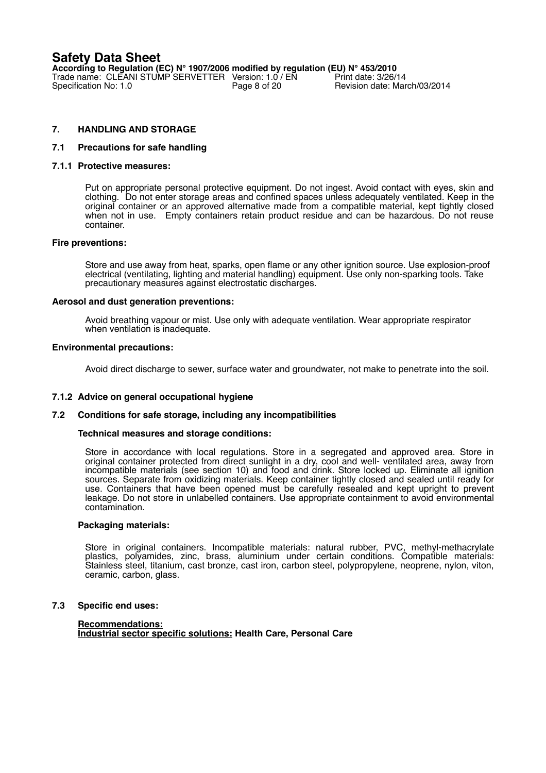**According to Regulation (EC) N° 1907/2006 modified by regulation (EU) N° 453/2010** Trade name: CLEANI STUMP SERVETTER Version: 1.0 / EN<br>Specification No: 1.0 Page 8 of 20 Revision date: March/03/2014

# **7. HANDLING AND STORAGE**

### **7.1 Precautions for safe handling**

#### **7.1.1 Protective measures:**

Put on appropriate personal protective equipment. Do not ingest. Avoid contact with eyes, skin and clothing. Do not enter storage areas and confined spaces unless adequately ventilated. Keep in the original container or an approved alternative made from a compatible material, kept tightly closed when not in use. Empty containers retain product residue and can be hazardous. Do not reuse container.

#### **Fire preventions:**

Store and use away from heat, sparks, open flame or any other ignition source. Use explosion-proof electrical (ventilating, lighting and material handling) equipment. Use only non-sparking tools. Take precautionary measures against electrostatic discharges.

### **Aerosol and dust generation preventions:**

Avoid breathing vapour or mist. Use only with adequate ventilation. Wear appropriate respirator when ventilation is inadequate.

### **Environmental precautions:**

Avoid direct discharge to sewer, surface water and groundwater, not make to penetrate into the soil.

### **7.1.2 Advice on general occupational hygiene**

### **7.2 Conditions for safe storage, including any incompatibilities**

#### **Technical measures and storage conditions:**

Store in accordance with local regulations. Store in a segregated and approved area. Store in original container protected from direct sunlight in a dry, cool and well- ventilated area, away from incompatible materials (see section 10) and food and drink. Store locked up. Eliminate all ignition sources. Separate from oxidizing materials. Keep container tightly closed and sealed until ready for use. Containers that have been opened must be carefully resealed and kept upright to prevent leakage. Do not store in unlabelled containers. Use appropriate containment to avoid environmental contamination.

#### **Packaging materials:**

Store in original containers. Incompatible materials: natural rubber, PVC, methyl-methacrylate plastics, polyamides, zinc, brass, aluminium under certain conditions. Compatible materials: Stainless steel, titanium, cast bronze, cast iron, carbon steel, polypropylene, neoprene, nylon, viton, ceramic, carbon, glass.

#### **7.3 Specific end uses:**

### **Recommendations: Industrial sector specific solutions: Health Care, Personal Care**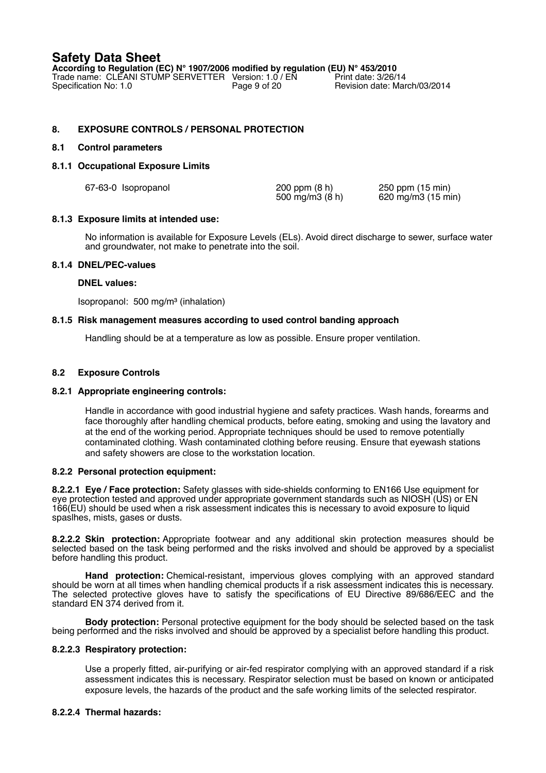**According to Regulation (EC) N° 1907/2006 modified by regulation (EU) N° 453/2010** Trade name: CLEANI STUMP SERVETTER Version: 1.0 / EN<br>Specification No: 1.0 Page 9 of 20 Revision date: March/03/2014

# **8. EXPOSURE CONTROLS / PERSONAL PROTECTION**

## **8.1 Control parameters**

## **8.1.1 Occupational Exposure Limits**

| 67-63-0 Isopropanol | $200$ ppm $(8 h)$ | 250 ppm (15 min)   |
|---------------------|-------------------|--------------------|
|                     | 500 mg/m3 (8 h)   | 620 mg/m3 (15 min) |

## **8.1.3 Exposure limits at intended use:**

No information is available for Exposure Levels (ELs). Avoid direct discharge to sewer, surface water and groundwater, not make to penetrate into the soil.

## **8.1.4 DNEL/PEC-values**

### **DNEL values:**

Isopropanol: 500 mg/m³ (inhalation)

## **8.1.5 Risk management measures according to used control banding approach**

Handling should be at a temperature as low as possible. Ensure proper ventilation.

# **8.2 Exposure Controls**

### **8.2.1 Appropriate engineering controls:**

Handle in accordance with good industrial hygiene and safety practices. Wash hands, forearms and face thoroughly after handling chemical products, before eating, smoking and using the lavatory and at the end of the working period. Appropriate techniques should be used to remove potentially contaminated clothing. Wash contaminated clothing before reusing. Ensure that eyewash stations and safety showers are close to the workstation location.

### **8.2.2 Personal protection equipment:**

**8.2.2.1 Eye / Face protection:** Safety glasses with side-shields conforming to EN166 Use equipment for eye protection tested and approved under appropriate government standards such as NIOSH (US) or EN 166(EU) should be used when a risk assessment indicates this is necessary to avoid exposure to liquid spaslhes, mists, gases or dusts.

**8.2.2.2 Skin protection:** Appropriate footwear and any additional skin protection measures should be selected based on the task being performed and the risks involved and should be approved by a specialist before handling this product.

**Hand protection:** Chemical-resistant, impervious gloves complying with an approved standard should be worn at all times when handling chemical products if a risk assessment indicates this is necessary. The selected protective gloves have to satisfy the specifications of EU Directive 89/686/EEC and the standard EN 374 derived from it.

**Body protection:** Personal protective equipment for the body should be selected based on the task being performed and the risks involved and should be approved by a specialist before handling this product.

### **8.2.2.3 Respiratory protection:**

Use a properly fitted, air-purifying or air-fed respirator complying with an approved standard if a risk assessment indicates this is necessary. Respirator selection must be based on known or anticipated exposure levels, the hazards of the product and the safe working limits of the selected respirator.

### **8.2.2.4 Thermal hazards:**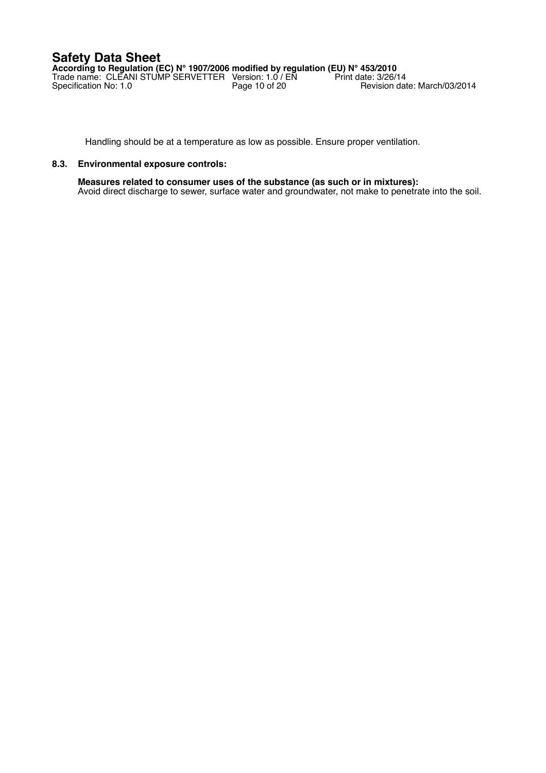**According to Regulation (EC) N° 1907/2006 modified by regulation (EU) N° 453/2010** Trade name: CLEANI STUMP SERVETTER Version: 1.0 / EN Print date: 3/26/14 Specification No: 1.0 **Page 10 of 20** Revision date: March/03/2014

Handling should be at a temperature as low as possible. Ensure proper ventilation.

## **8.3. Environmental exposure controls:**

**Measures related to consumer uses of the substance (as such or in mixtures):** Avoid direct discharge to sewer, surface water and groundwater, not make to penetrate into the soil.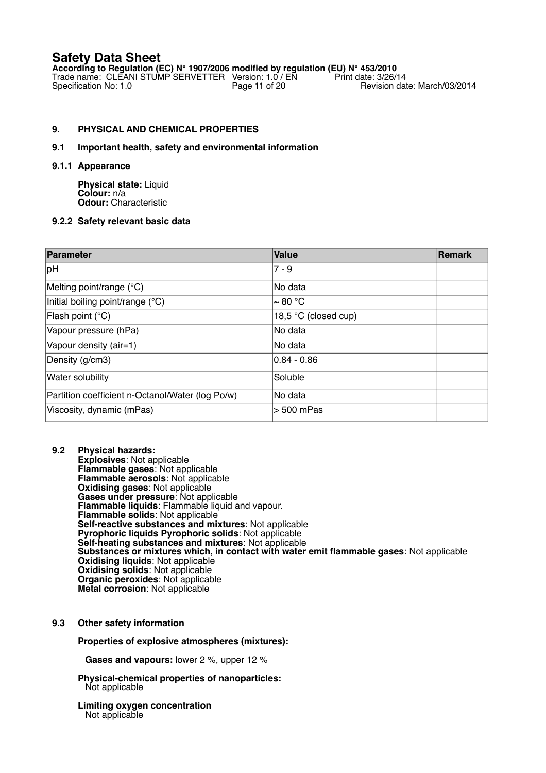**According to Regulation (EC) N° 1907/2006 modified by regulation (EU) N° 453/2010** Trade name: CLEANI STUMP SERVETTER Version: 1.0 / EN Print date: 3/26/14 Specification No: 1.0 **Page 11 of 20** Revision date: March/03/2014

# **9. PHYSICAL AND CHEMICAL PROPERTIES**

# **9.1 Important health, safety and environmental information**

### **9.1.1 Appearance**

**Physical state:** Liquid **Colour:** n/a **Odour:** Characteristic

## **9.2.2 Safety relevant basic data**

| Parameter                                        | <b>Value</b>         | <b>Remark</b> |
|--------------------------------------------------|----------------------|---------------|
| pH                                               | $7 - 9$              |               |
| Melting point/range (°C)                         | lNo data             |               |
| Initial boiling point/range (°C)                 | l~ 80 °C             |               |
| Flash point (°C)                                 | 18,5 °C (closed cup) |               |
| Vapour pressure (hPa)                            | lNo data             |               |
| Vapour density (air=1)                           | No data              |               |
| Density (g/cm3)                                  | $0.84 - 0.86$        |               |
| Water solubility                                 | Soluble              |               |
| Partition coefficient n-Octanol/Water (log Po/w) | lNo data             |               |
| Viscosity, dynamic (mPas)                        | $> 500$ mPas         |               |

**9.2 Physical hazards: Explosives**: Not applicable **Flammable gases**: Not applicable **Flammable aerosols**: Not applicable **Oxidising gases**: Not applicable **Gases under pressure**: Not applicable **Flammable liquids**: Flammable liquid and vapour. **Flammable solids**: Not applicable Self-reactive substances and mixtures: Not applicable **Pyrophoric liquids Pyrophoric solids**: Not applicable **Self-heating substances and mixtures**: Not applicable **Substances or mixtures which, in contact with water emit flammable gases**: Not applicable **Oxidising liquids**: Not applicable **Oxidising solids**: Not applicable **Organic peroxides**: Not applicable **Metal corrosion**: Not applicable

# **9.3 Other safety information**

### **Properties of explosive atmospheres (mixtures):**

**Gases and vapours:** lower 2 %, upper 12 %

**Physical-chemical properties of nanoparticles:** Not applicable

#### **Limiting oxygen concentration** Not applicable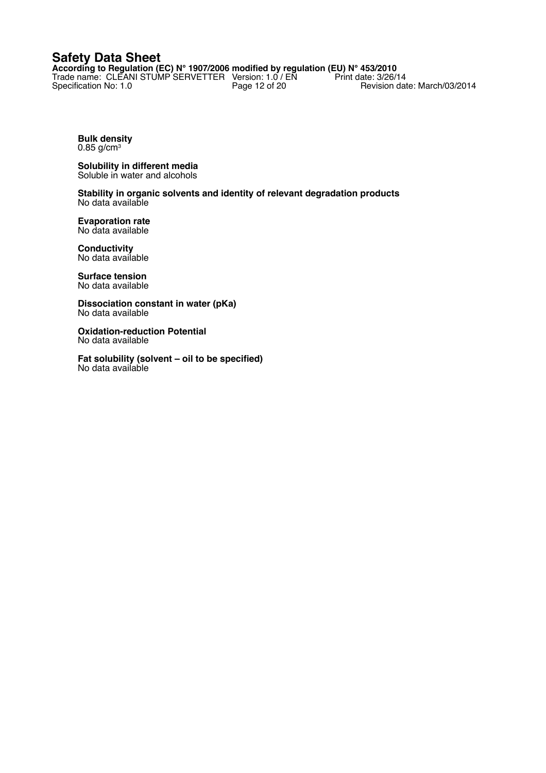**According to Regulation (EC) N° 1907/2006 modified by regulation (EU) N° 453/2010** Trade name: CLEANI STUMP SERVETTER Version: 1.0 / EN Print date: 3/26/14 Specification No: 1.0 **Page 12 of 20** Revision date: March/03/2014

**Bulk density** 0.85 g/cm<sup>3</sup>

**Solubility in different media** Soluble in water and alcohols

**Stability in organic solvents and identity of relevant degradation products** No data available

**Evaporation rate** No data available

**Conductivity** No data available

**Surface tension** No data available

**Dissociation constant in water (pKa)** No data available

**Oxidation-reduction Potential** No data available

**Fat solubility (solvent – oil to be specified)** No data available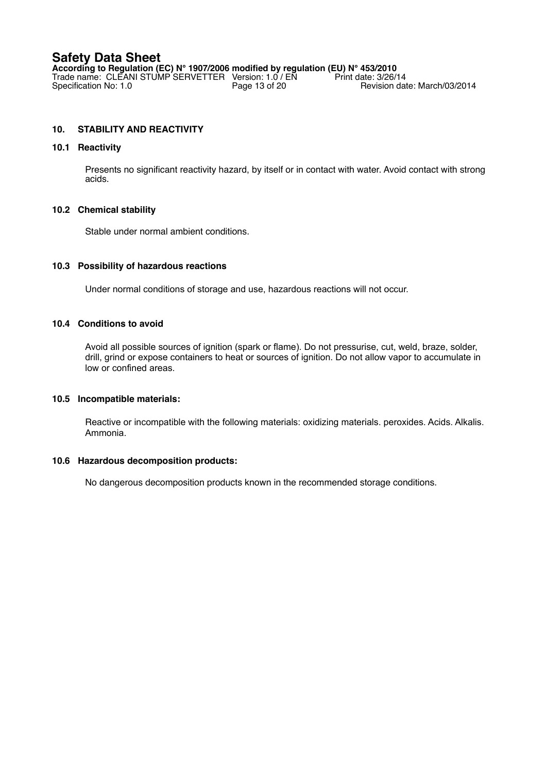**According to Regulation (EC) N° 1907/2006 modified by regulation (EU) N° 453/2010**<br>Trade name: CLEANI STUMP SERVETTER Version: 1.0 / EN Print date: 3/26/14 Trade name: CLEANI STUMP SERVETTER Version: 1.0 / EN Print date: 3/26/14 Specification No: 1.0 **Page 13 of 20** Revision date: March/03/2014

# **10. STABILITY AND REACTIVITY**

## **10.1 Reactivity**

Presents no significant reactivity hazard, by itself or in contact with water. Avoid contact with strong acids.

# **10.2 Chemical stability**

Stable under normal ambient conditions.

## **10.3 Possibility of hazardous reactions**

Under normal conditions of storage and use, hazardous reactions will not occur.

# **10.4 Conditions to avoid**

Avoid all possible sources of ignition (spark or flame). Do not pressurise, cut, weld, braze, solder, drill, grind or expose containers to heat or sources of ignition. Do not allow vapor to accumulate in low or confined areas.

### **10.5 Incompatible materials:**

Reactive or incompatible with the following materials: oxidizing materials. peroxides. Acids. Alkalis. Ammonia.

### **10.6 Hazardous decomposition products:**

No dangerous decomposition products known in the recommended storage conditions.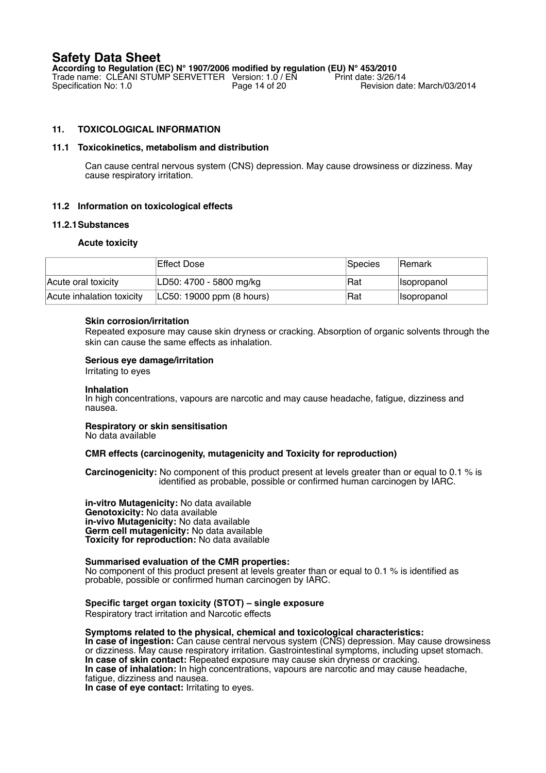**According to Regulation (EC) N° 1907/2006 modified by regulation (EU) N° 453/2010** Trade name: CLEANI STUMP SERVETTER Version: 1.0 / EN Specification No: 1.0 Revision date: March/03/2014

# **11. TOXICOLOGICAL INFORMATION**

### **11.1 Toxicokinetics, metabolism and distribution**

Can cause central nervous system (CNS) depression. May cause drowsiness or dizziness. May cause respiratory irritation.

## **11.2 Information on toxicological effects**

### **11.2.1Substances**

### **Acute toxicity**

|                           | Effect Dose               | Species | lRemark                   |
|---------------------------|---------------------------|---------|---------------------------|
| Acute oral toxicity       | LD50: 4700 - 5800 mg/kg   | ∣Rat    | <i><b>Isopropanol</b></i> |
| Acute inhalation toxicity | LC50: 19000 ppm (8 hours) | ∣Rat    | <i><b>Isopropanol</b></i> |

### **Skin corrosion/irritation**

Repeated exposure may cause skin dryness or cracking. Absorption of organic solvents through the skin can cause the same effects as inhalation.

### **Serious eye damage/irritation**

Irritating to eyes

#### **Inhalation**

In high concentrations, vapours are narcotic and may cause headache, fatigue, dizziness and nausea.

# **Respiratory or skin sensitisation**

No data available

### **CMR effects (carcinogenity, mutagenicity and Toxicity for reproduction)**

**Carcinogenicity:** No component of this product present at levels greater than or equal to 0.1 % is identified as probable, possible or confirmed human carcinogen by IARC.

**in-vitro Mutagenicity:** No data available **Genotoxicity:** No data available **in-vivo Mutagenicity:** No data available **Germ cell mutagenicity:** No data available **Toxicity for reproduction:** No data available

**Summarised evaluation of the CMR properties:** No component of this product present at levels greater than or equal to 0.1 % is identified as probable, possible or confirmed human carcinogen by IARC.

### **Specific target organ toxicity (STOT) – single exposure** Respiratory tract irritation and Narcotic effects

**Symptoms related to the physical, chemical and toxicological characteristics: In case of ingestion:** Can cause central nervous system (CNS) depression. May cause drowsiness

or dizziness. May cause respiratory irritation. Gastrointestinal symptoms, including upset stomach. **In case of skin contact:** Repeated exposure may cause skin dryness or cracking. **In case of inhalation:** In high concentrations, vapours are narcotic and may cause headache, fatigue, dizziness and nausea.

**In case of eye contact:** Irritating to eyes.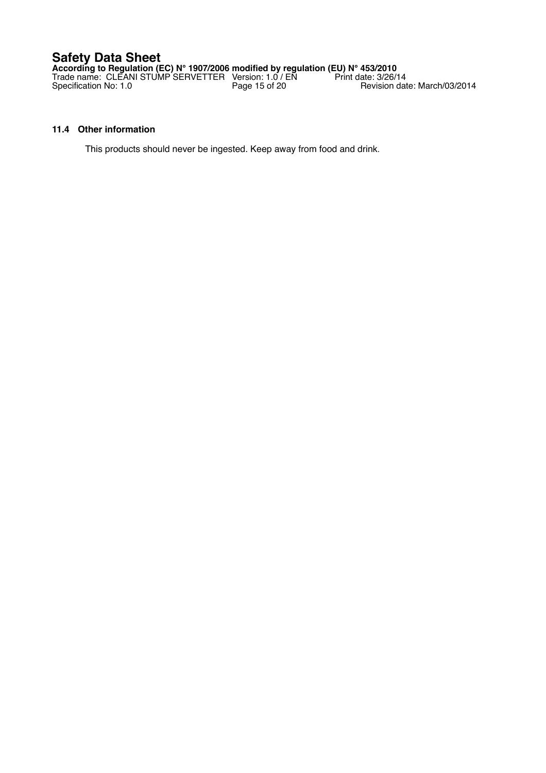**According to Regulation (EC) N° 1907/2006 modified by regulation (EU) N° 453/2010** Trade name: CLEANI STUMP SERVETTER Version: 1.0 / EN Print date: 3/26/14 Specification No: 1.0 **Page 15 of 20** Revision date: March/03/2014

# **11.4 Other information**

This products should never be ingested. Keep away from food and drink.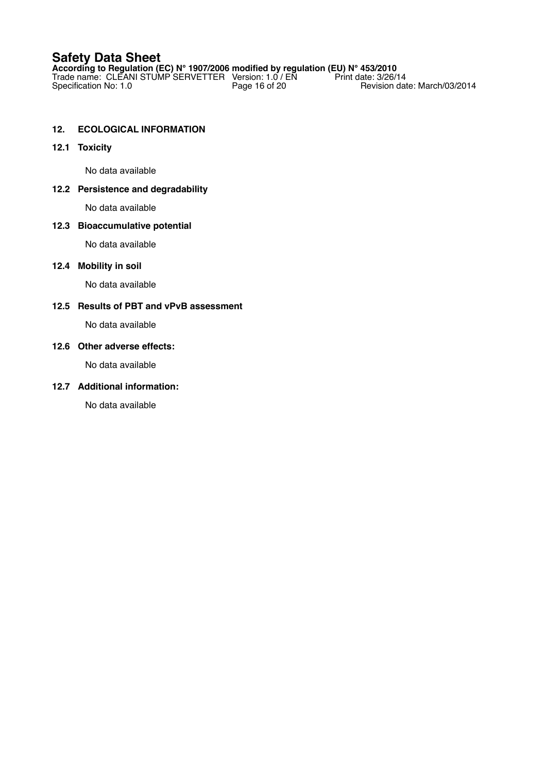**According to Regulation (EC) N° 1907/2006 modified by regulation (EU) N° 453/2010** Trade name: CLEANI STUMP SERVETTER Version: 1.0 / EN Print date: 3/26/14 Specification No: 1.0 **Page 16 of 20** Revision date: March/03/2014

# **12. ECOLOGICAL INFORMATION**

# **12.1 Toxicity**

No data available

## **12.2 Persistence and degradability**

No data available

## **12.3 Bioaccumulative potential**

No data available

### **12.4 Mobility in soil**

No data available

# **12.5 Results of PBT and vPvB assessment**

No data available

# **12.6 Other adverse effects:**

No data available

# **12.7 Additional information:**

No data available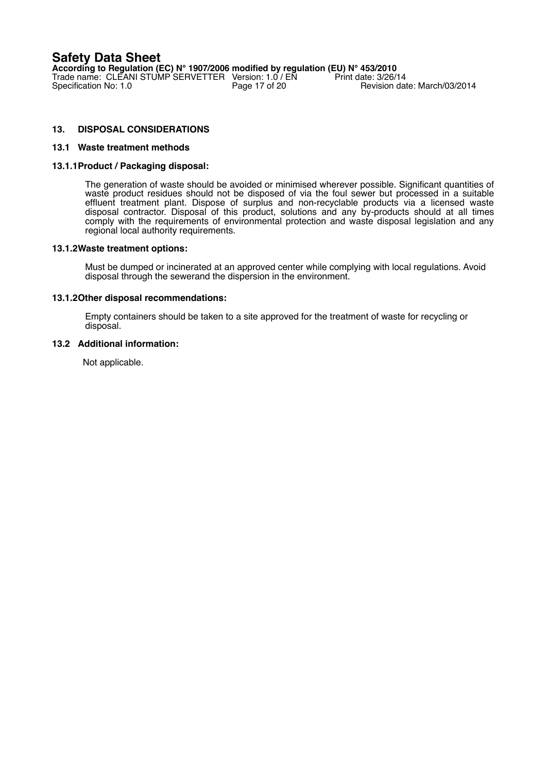**According to Regulation (EC) N° 1907/2006 modified by regulation (EU) N° 453/2010** Trade name: CLEANI STUMP SERVETTER Version: 1.0 / EN Print date: 3/26/14 Specification No: 1.0 **Page 17 of 20** Revision date: March/03/2014

# **13. DISPOSAL CONSIDERATIONS**

### **13.1 Waste treatment methods**

### **13.1.1Product / Packaging disposal:**

The generation of waste should be avoided or minimised wherever possible. Significant quantities of waste product residues should not be disposed of via the foul sewer but processed in a suitable effluent treatment plant. Dispose of surplus and non-recyclable products via a licensed waste disposal contractor. Disposal of this product, solutions and any by-products should at all times comply with the requirements of environmental protection and waste disposal legislation and any regional local authority requirements.

#### **13.1.2Waste treatment options:**

Must be dumped or incinerated at an approved center while complying with local regulations. Avoid disposal through the sewerand the dispersion in the environment.

### **13.1.2Other disposal recommendations:**

Empty containers should be taken to a site approved for the treatment of waste for recycling or disposal.

### **13.2 Additional information:**

Not applicable.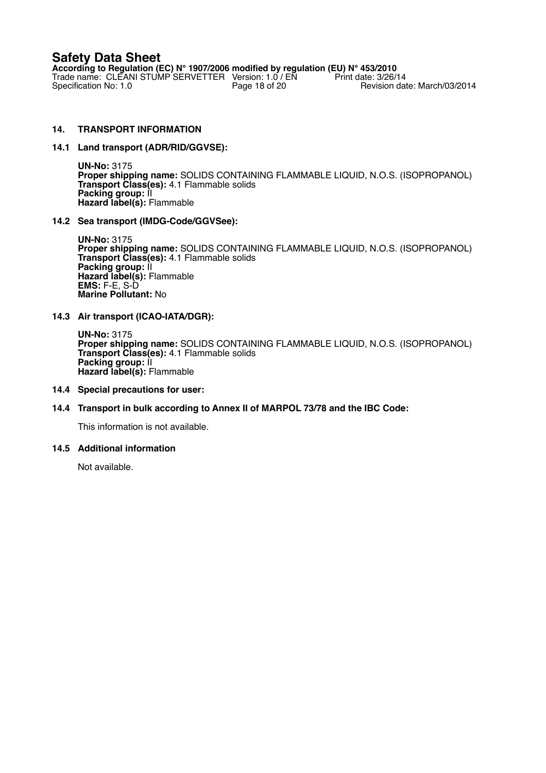**According to Regulation (EC) N° 1907/2006 modified by regulation (EU) N° 453/2010** Trade name: CLEANI STUMP SERVETTER Version: 1.0 / EN Print date: 3/26/14 Specification No: 1.0 **Page 18 of 20** Revision date: March/03/2014

# **14. TRANSPORT INFORMATION**

### **14.1 Land transport (ADR/RID/GGVSE):**

**UN-No:** 3175 **Proper shipping name:** SOLIDS CONTAINING FLAMMABLE LIQUID, N.O.S. (ISOPROPANOL) **Transport Class(es):** 4.1 Flammable solids **Packing group: II Hazard label(s):** Flammable

### **14.2 Sea transport (IMDG-Code/GGVSee):**

**UN-No:** 3175 **Proper shipping name:** SOLIDS CONTAINING FLAMMABLE LIQUID, N.O.S. (ISOPROPANOL) **Transport Class(es):** 4.1 Flammable solids **Packing group: II Hazard label(s):** Flammable **EMS:** F-E, S-D **Marine Pollutant:** No

## **14.3 Air transport (ICAO-IATA/DGR):**

**UN-No:** 3175 **Proper shipping name:** SOLIDS CONTAINING FLAMMABLE LIQUID, N.O.S. (ISOPROPANOL) **Transport Class(es):** 4.1 Flammable solids **Packing group:** II **Hazard label(s):** Flammable

### **14.4 Special precautions for user:**

# **14.4 Transport in bulk according to Annex II of MARPOL 73/78 and the IBC Code:**

This information is not available.

### **14.5 Additional information**

Not available.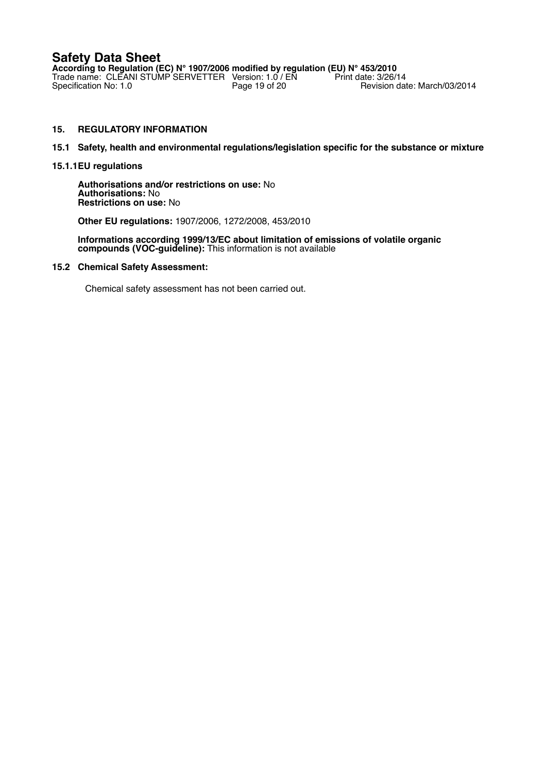**According to Regulation (EC) N° 1907/2006 modified by regulation (EU) N° 453/2010** Trade name: CLEANI STUMP SERVETTER Version: 1.0 / EN Print date: 3/26/14 Specification No: 1.0 **Page 19 of 20** Revision date: March/03/2014

# **15. REGULATORY INFORMATION**

## **15.1 Safety, health and environmental regulations/legislation specific for the substance or mixture**

### **15.1.1EU regulations**

**Authorisations and/or restrictions on use:** No **Authorisations:** No **Restrictions on use:** No

### **Other EU regulations:** 1907/2006, 1272/2008, 453/2010

**Informations according 1999/13/EC about limitation of emissions of volatile organic compounds (VOC-guideline):** This information is not available

### **15.2 Chemical Safety Assessment:**

Chemical safety assessment has not been carried out.